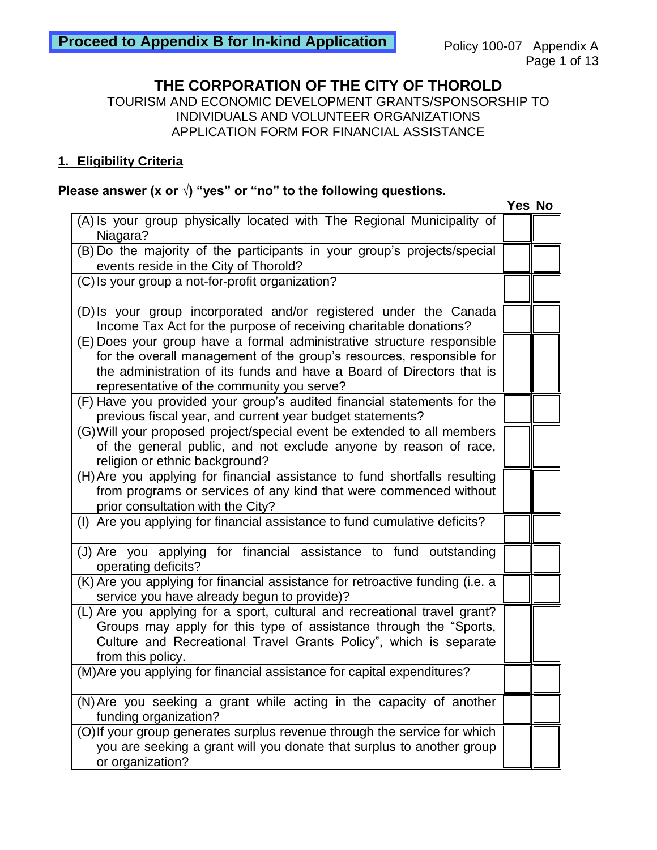# **THE CORPORATION OF THE CITY OF THOROLD**

TOURISM AND ECONOMIC DEVELOPMENT GRANTS/SPONSORSHIP TO INDIVIDUALS AND VOLUNTEER ORGANIZATIONS APPLICATION FORM FOR FINANCIAL ASSISTANCE

# **1. Eligibility Criteria**

# **Please answer (x or √) "yes" or "no" to the following questions.**

|                                                                                                                                                                                                                                                                       | Yes No |  |
|-----------------------------------------------------------------------------------------------------------------------------------------------------------------------------------------------------------------------------------------------------------------------|--------|--|
| (A) Is your group physically located with The Regional Municipality of<br>Niagara?                                                                                                                                                                                    |        |  |
| (B) Do the majority of the participants in your group's projects/special<br>events reside in the City of Thorold?                                                                                                                                                     |        |  |
| (C) Is your group a not-for-profit organization?                                                                                                                                                                                                                      |        |  |
| (D) Is your group incorporated and/or registered under the Canada<br>Income Tax Act for the purpose of receiving charitable donations?                                                                                                                                |        |  |
| (E) Does your group have a formal administrative structure responsible<br>for the overall management of the group's resources, responsible for<br>the administration of its funds and have a Board of Directors that is<br>representative of the community you serve? |        |  |
| (F) Have you provided your group's audited financial statements for the<br>previous fiscal year, and current year budget statements?                                                                                                                                  |        |  |
| (G) Will your proposed project/special event be extended to all members<br>of the general public, and not exclude anyone by reason of race,<br>religion or ethnic background?                                                                                         |        |  |
| (H) Are you applying for financial assistance to fund shortfalls resulting<br>from programs or services of any kind that were commenced without<br>prior consultation with the City?                                                                                  |        |  |
| (I) Are you applying for financial assistance to fund cumulative deficits?                                                                                                                                                                                            |        |  |
| (J) Are you applying for financial assistance to fund outstanding<br>operating deficits?                                                                                                                                                                              |        |  |
| (K) Are you applying for financial assistance for retroactive funding (i.e. a<br>service you have already begun to provide)?                                                                                                                                          |        |  |
| (L) Are you applying for a sport, cultural and recreational travel grant?<br>Groups may apply for this type of assistance through the "Sports,<br>Culture and Recreational Travel Grants Policy", which is separate<br>from this policy.                              |        |  |
| (M) Are you applying for financial assistance for capital expenditures?                                                                                                                                                                                               |        |  |
| (N) Are you seeking a grant while acting in the capacity of another<br>funding organization?                                                                                                                                                                          |        |  |
| (O) If your group generates surplus revenue through the service for which<br>you are seeking a grant will you donate that surplus to another group<br>or organization?                                                                                                |        |  |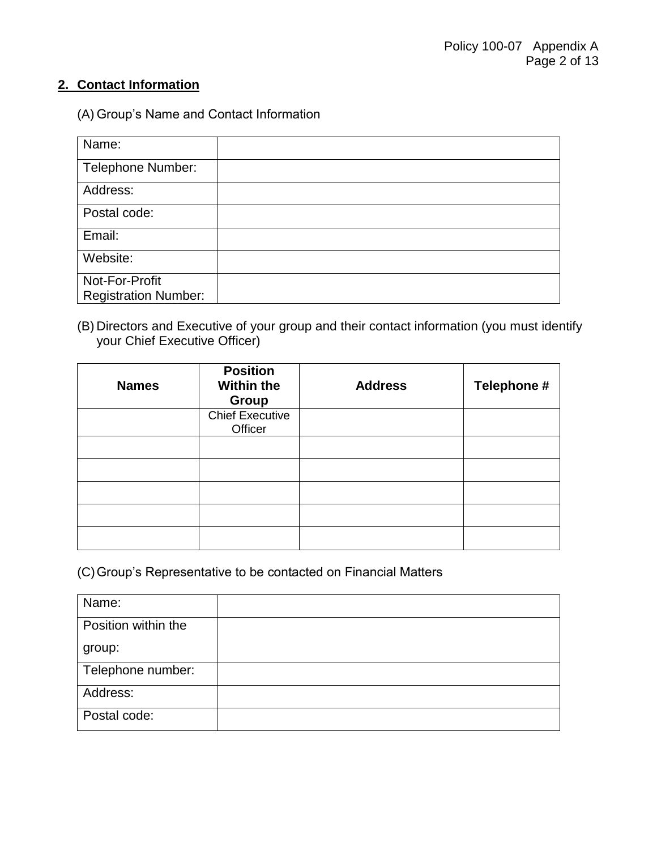# **2. Contact Information**

(A) Group's Name and Contact Information

| Name:                       |  |
|-----------------------------|--|
| <b>Telephone Number:</b>    |  |
| Address:                    |  |
| Postal code:                |  |
| Email:                      |  |
| Website:                    |  |
| Not-For-Profit              |  |
| <b>Registration Number:</b> |  |

(B) Directors and Executive of your group and their contact information (you must identify your Chief Executive Officer)

| <b>Names</b> | <b>Position</b><br><b>Within the</b><br><b>Group</b> | <b>Address</b> | Telephone # |
|--------------|------------------------------------------------------|----------------|-------------|
|              | <b>Chief Executive</b><br>Officer                    |                |             |
|              |                                                      |                |             |
|              |                                                      |                |             |
|              |                                                      |                |             |
|              |                                                      |                |             |
|              |                                                      |                |             |

(C) Group's Representative to be contacted on Financial Matters

| Name:               |  |
|---------------------|--|
| Position within the |  |
| group:              |  |
| Telephone number:   |  |
| Address:            |  |
| Postal code:        |  |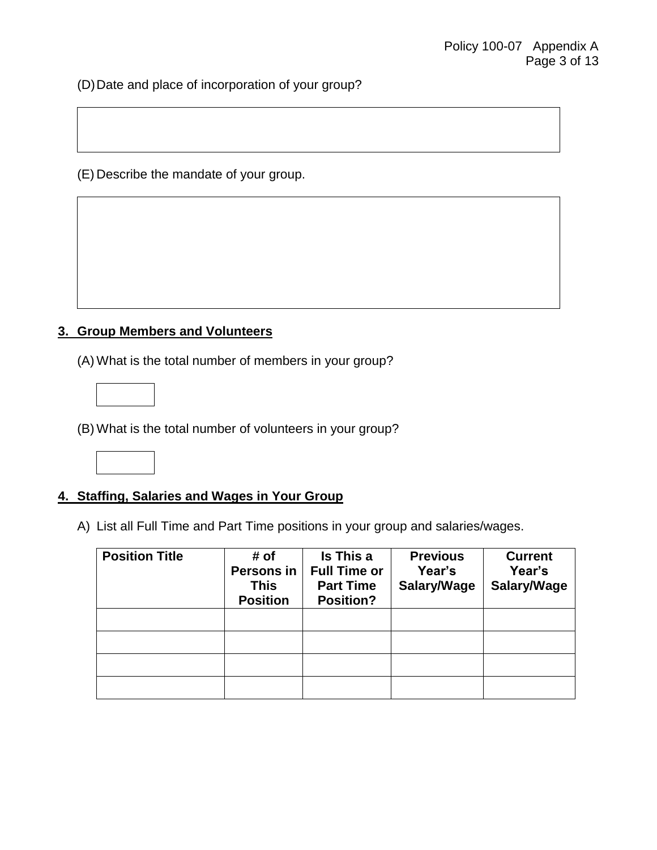(D) Date and place of incorporation of your group?

(E) Describe the mandate of your group.

# **3. Group Members and Volunteers**

(A) What is the total number of members in your group?

(B) What is the total number of volunteers in your group?

# **4. Staffing, Salaries and Wages in Your Group**

A) List all Full Time and Part Time positions in your group and salaries/wages.

| <b>Position Title</b> | # of<br>Persons in<br><b>This</b><br><b>Position</b> | Is This a<br><b>Full Time or</b><br><b>Part Time</b><br><b>Position?</b> | <b>Previous</b><br>Year's<br>Salary/Wage | <b>Current</b><br>Year's<br>Salary/Wage |
|-----------------------|------------------------------------------------------|--------------------------------------------------------------------------|------------------------------------------|-----------------------------------------|
|                       |                                                      |                                                                          |                                          |                                         |
|                       |                                                      |                                                                          |                                          |                                         |
|                       |                                                      |                                                                          |                                          |                                         |
|                       |                                                      |                                                                          |                                          |                                         |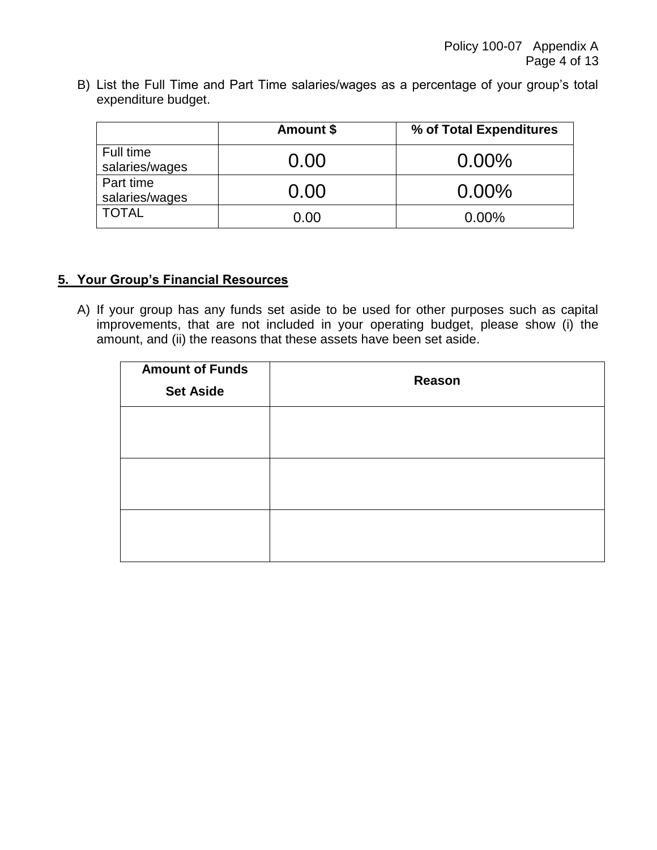B) List the Full Time and Part Time salaries/wages as a percentage of your group's total expenditure budget.

|                             | Amount \$ | % of Total Expenditures |
|-----------------------------|-----------|-------------------------|
| Full time<br>salaries/wages | 0.00      | $0.00\%$                |
| Part time<br>salaries/wages | 0.00      | $0.00\%$                |
| <b>TOTAL</b>                | 0.00      | $0.00\%$                |

# **5. Your Group's Financial Resources**

A) If your group has any funds set aside to be used for other purposes such as capital improvements, that are not included in your operating budget, please show (i) the amount, and (ii) the reasons that these assets have been set aside.

| <b>Amount of Funds</b><br><b>Set Aside</b> | <b>Reason</b> |
|--------------------------------------------|---------------|
|                                            |               |
|                                            |               |
|                                            |               |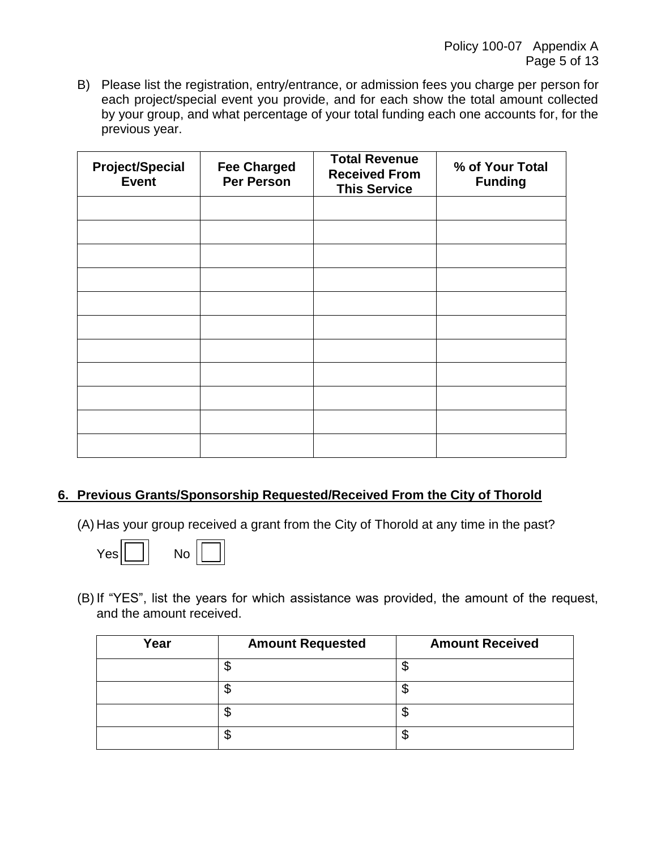B) Please list the registration, entry/entrance, or admission fees you charge per person for each project/special event you provide, and for each show the total amount collected by your group, and what percentage of your total funding each one accounts for, for the previous year.

| <b>Project/Special</b><br><b>Event</b> | <b>Fee Charged</b><br><b>Per Person</b> | <b>Total Revenue</b><br><b>Received From</b><br><b>This Service</b> | % of Your Total<br><b>Funding</b> |
|----------------------------------------|-----------------------------------------|---------------------------------------------------------------------|-----------------------------------|
|                                        |                                         |                                                                     |                                   |
|                                        |                                         |                                                                     |                                   |
|                                        |                                         |                                                                     |                                   |
|                                        |                                         |                                                                     |                                   |
|                                        |                                         |                                                                     |                                   |
|                                        |                                         |                                                                     |                                   |
|                                        |                                         |                                                                     |                                   |
|                                        |                                         |                                                                     |                                   |
|                                        |                                         |                                                                     |                                   |
|                                        |                                         |                                                                     |                                   |
|                                        |                                         |                                                                     |                                   |

# **6. Previous Grants/Sponsorship Requested/Received From the City of Thorold**

(A) Has your group received a grant from the City of Thorold at any time in the past?



(B) If "YES", list the years for which assistance was provided, the amount of the request, and the amount received.

| Year | <b>Amount Requested</b> | <b>Amount Received</b> |
|------|-------------------------|------------------------|
|      | Ψ                       |                        |
|      | J                       |                        |
|      | Φ                       |                        |
|      | J                       |                        |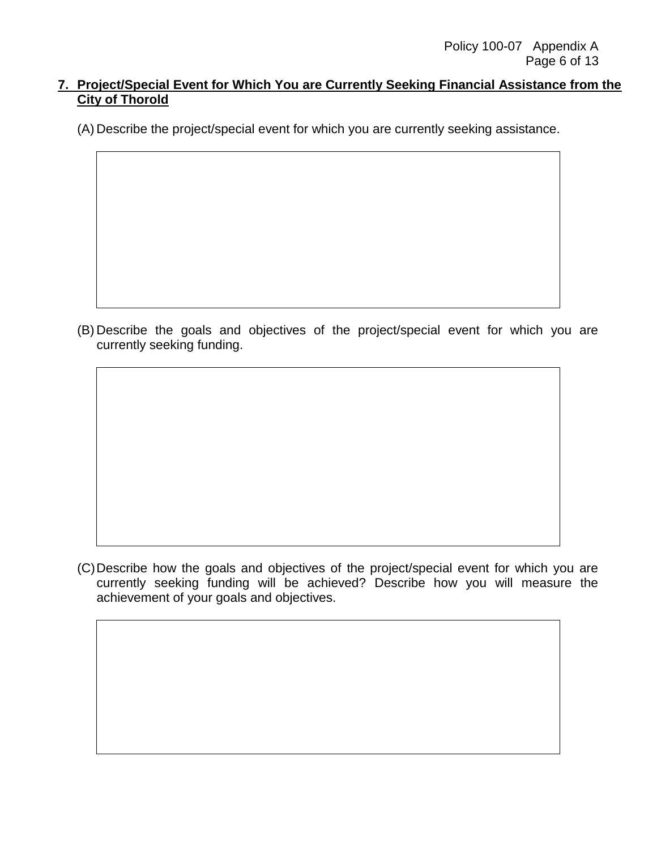### **7. Project/Special Event for Which You are Currently Seeking Financial Assistance from the City of Thorold**

(A) Describe the project/special event for which you are currently seeking assistance.

(B) Describe the goals and objectives of the project/special event for which you are currently seeking funding.

(C) Describe how the goals and objectives of the project/special event for which you are currently seeking funding will be achieved? Describe how you will measure the achievement of your goals and objectives.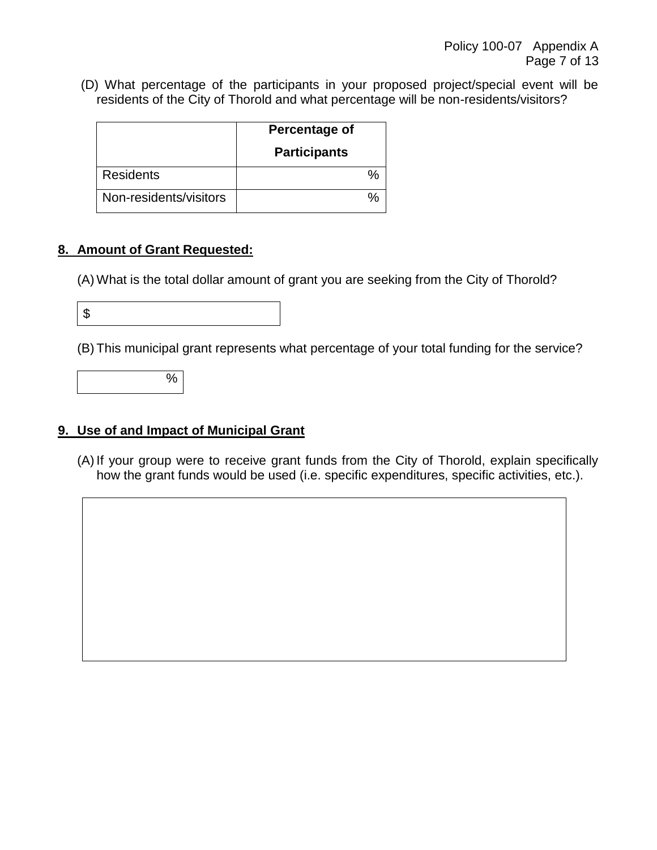(D) What percentage of the participants in your proposed project/special event will be residents of the City of Thorold and what percentage will be non-residents/visitors?

|                        | Percentage of       |  |
|------------------------|---------------------|--|
|                        | <b>Participants</b> |  |
| <b>Residents</b>       | $\%$                |  |
| Non-residents/visitors |                     |  |

### **8. Amount of Grant Requested:**

(A) What is the total dollar amount of grant you are seeking from the City of Thorold?

\$

(B) This municipal grant represents what percentage of your total funding for the service?

%

# **9. Use of and Impact of Municipal Grant**

(A) If your group were to receive grant funds from the City of Thorold, explain specifically how the grant funds would be used (i.e. specific expenditures, specific activities, etc.).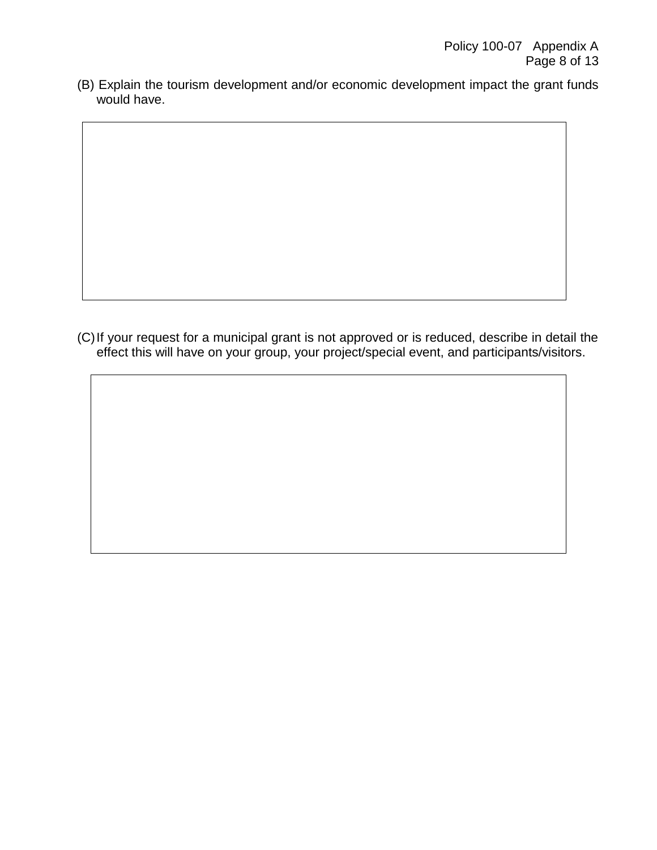(B) Explain the tourism development and/or economic development impact the grant funds would have.

(C) If your request for a municipal grant is not approved or is reduced, describe in detail the effect this will have on your group, your project/special event, and participants/visitors.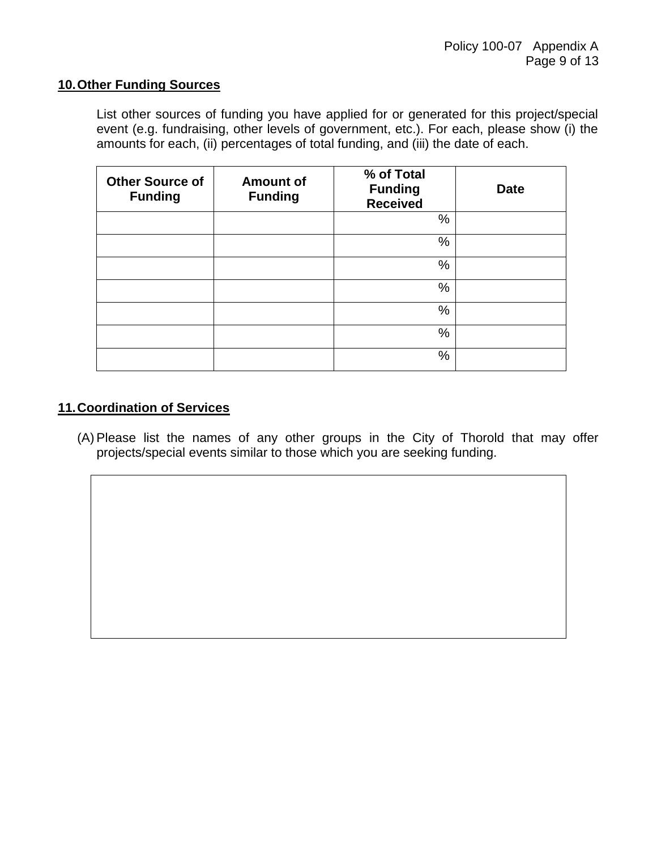# **10. Other Funding Sources**

 List other sources of funding you have applied for or generated for this project/special event (e.g. fundraising, other levels of government, etc.). For each, please show (i) the amounts for each, (ii) percentages of total funding, and (iii) the date of each.

| <b>Other Source of</b><br><b>Funding</b> | <b>Amount of</b><br><b>Funding</b> | % of Total<br><b>Funding</b><br><b>Received</b> | <b>Date</b> |
|------------------------------------------|------------------------------------|-------------------------------------------------|-------------|
|                                          |                                    | $\%$                                            |             |
|                                          |                                    | $\%$                                            |             |
|                                          |                                    | $\%$                                            |             |
|                                          |                                    | $\%$                                            |             |
|                                          |                                    | %                                               |             |
|                                          |                                    | $\%$                                            |             |
|                                          |                                    | $\%$                                            |             |

#### **11. Coordination of Services**

(A) Please list the names of any other groups in the City of Thorold that may offer projects/special events similar to those which you are seeking funding.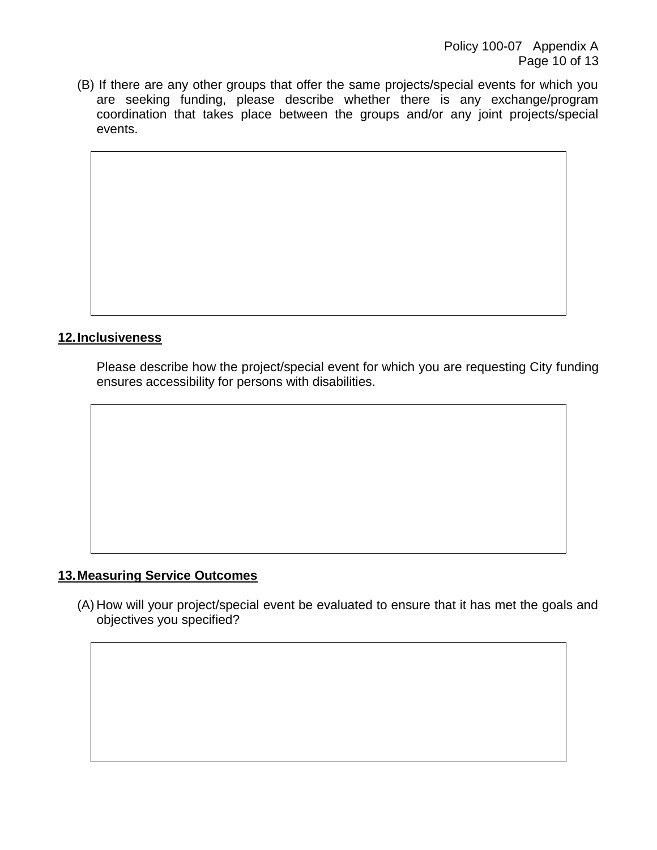(B) If there are any other groups that offer the same projects/special events for which you are seeking funding, please describe whether there is any exchange/program coordination that takes place between the groups and/or any joint projects/special events.

### **12. Inclusiveness**

Please describe how the project/special event for which you are requesting City funding ensures accessibility for persons with disabilities.

#### **13. Measuring Service Outcomes**

(A) How will your project/special event be evaluated to ensure that it has met the goals and objectives you specified?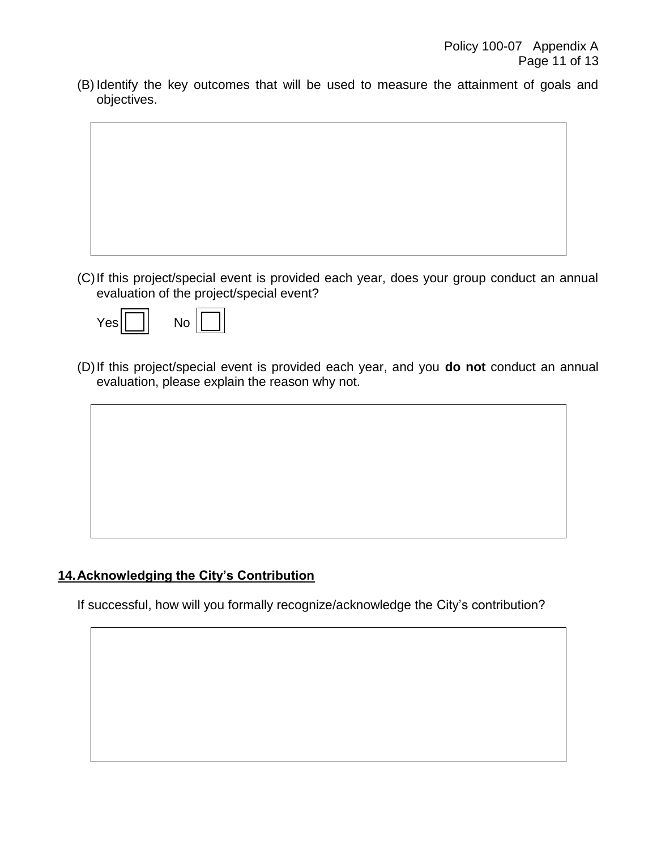(B) Identify the key outcomes that will be used to measure the attainment of goals and objectives.



(C) If this project/special event is provided each year, does your group conduct an annual evaluation of the project/special event?





(D) If this project/special event is provided each year, and you **do not** conduct an annual evaluation, please explain the reason why not.



# **14.Acknowledging the City's Contribution**

If successful, how will you formally recognize/acknowledge the City's contribution?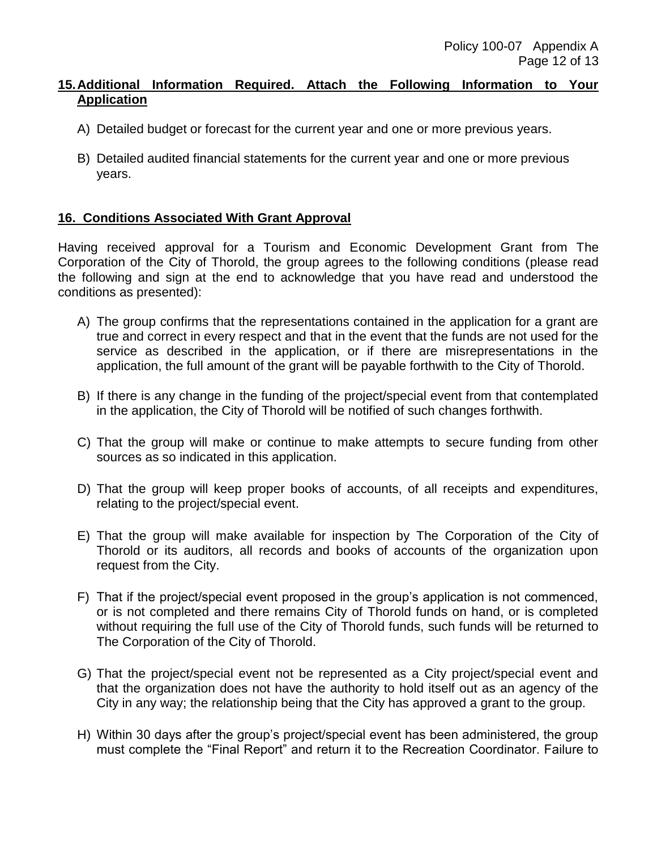### **15. Additional Information Required. Attach the Following Information to Your Application**

- A) Detailed budget or forecast for the current year and one or more previous years.
- B) Detailed audited financial statements for the current year and one or more previous years.

### **16. Conditions Associated With Grant Approval**

Having received approval for a Tourism and Economic Development Grant from The Corporation of the City of Thorold, the group agrees to the following conditions (please read the following and sign at the end to acknowledge that you have read and understood the conditions as presented):

- A) The group confirms that the representations contained in the application for a grant are true and correct in every respect and that in the event that the funds are not used for the service as described in the application, or if there are misrepresentations in the application, the full amount of the grant will be payable forthwith to the City of Thorold.
- B) If there is any change in the funding of the project/special event from that contemplated in the application, the City of Thorold will be notified of such changes forthwith.
- C) That the group will make or continue to make attempts to secure funding from other sources as so indicated in this application.
- D) That the group will keep proper books of accounts, of all receipts and expenditures, relating to the project/special event.
- E) That the group will make available for inspection by The Corporation of the City of Thorold or its auditors, all records and books of accounts of the organization upon request from the City.
- F) That if the project/special event proposed in the group's application is not commenced, or is not completed and there remains City of Thorold funds on hand, or is completed without requiring the full use of the City of Thorold funds, such funds will be returned to The Corporation of the City of Thorold.
- G) That the project/special event not be represented as a City project/special event and that the organization does not have the authority to hold itself out as an agency of the City in any way; the relationship being that the City has approved a grant to the group.
- H) Within 30 days after the group's project/special event has been administered, the group must complete the "Final Report" and return it to the Recreation Coordinator. Failure to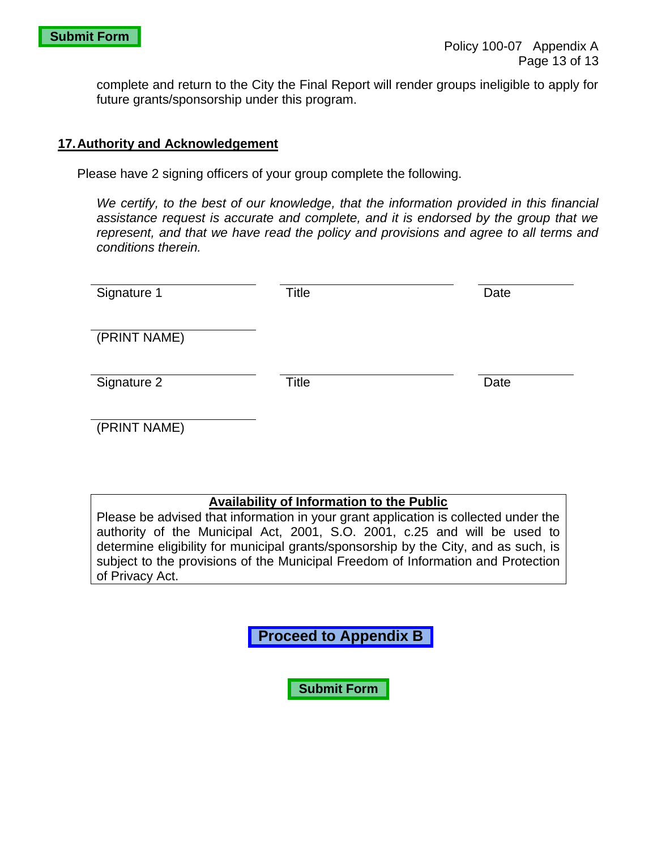complete and return to the City the Final Report will render groups ineligible to apply for future grants/sponsorship under this program.

#### **17. Authority and Acknowledgement**

We certify, to the best of our knowledge, that the information provided in this financial *assistance request is accurate and complete, and it is endorsed by the group that we represent, and that we have read the policy and provisions and agree to all terms and conditions therein.* 

| <b>Submit Form</b>                                                   |                                                  | Policy 100-07 Append<br>Page 13 d                                                                                                                                                                                                                                                                                                           |
|----------------------------------------------------------------------|--------------------------------------------------|---------------------------------------------------------------------------------------------------------------------------------------------------------------------------------------------------------------------------------------------------------------------------------------------------------------------------------------------|
| future grants/sponsorship under this program.                        |                                                  | complete and return to the City the Final Report will render groups ineligible to apply                                                                                                                                                                                                                                                     |
| 17. Authority and Acknowledgement                                    |                                                  |                                                                                                                                                                                                                                                                                                                                             |
| Please have 2 signing officers of your group complete the following. |                                                  |                                                                                                                                                                                                                                                                                                                                             |
| conditions therein.                                                  |                                                  | We certify, to the best of our knowledge, that the information provided in this final<br>assistance request is accurate and complete, and it is endorsed by the group tha<br>represent, and that we have read the policy and provisions and agree to all terms                                                                              |
| Signature 1                                                          | <b>Title</b>                                     | Date                                                                                                                                                                                                                                                                                                                                        |
| (PRINT NAME)                                                         |                                                  |                                                                                                                                                                                                                                                                                                                                             |
| Signature 2                                                          | <b>Title</b>                                     | Date                                                                                                                                                                                                                                                                                                                                        |
| (PRINT NAME)                                                         |                                                  |                                                                                                                                                                                                                                                                                                                                             |
|                                                                      |                                                  |                                                                                                                                                                                                                                                                                                                                             |
| of Privacy Act.                                                      | <b>Availability of Information to the Public</b> | Please be advised that information in your grant application is collected under the<br>authority of the Municipal Act, 2001, S.O. 2001, c.25 and will be used to<br>determine eligibility for municipal grants/sponsorship by the City, and as such, is<br>subject to the provisions of the Municipal Freedom of Information and Protection |
|                                                                      | <b>Proceed to Appendix B</b>                     |                                                                                                                                                                                                                                                                                                                                             |
|                                                                      | <b>Submit Form</b>                               |                                                                                                                                                                                                                                                                                                                                             |

#### **Availability of Information to the Public**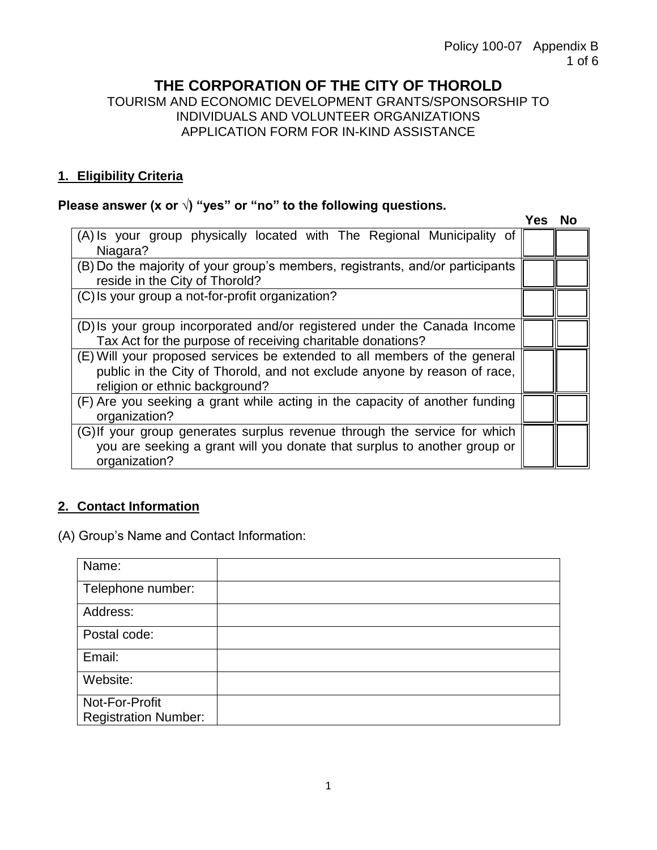# **THE CORPORATION OF THE CITY OF THOROLD**

TOURISM AND ECONOMIC DEVELOPMENT GRANTS/SPONSORSHIP TO INDIVIDUALS AND VOLUNTEER ORGANIZATIONS APPLICATION FORM FOR IN-KIND ASSISTANCE

# **1. Eligibility Criteria**

# **Please answer (x or √) "yes" or "no" to the following questions.**

|                                                                                                                                                                                         | <b>Yes</b> | No |
|-----------------------------------------------------------------------------------------------------------------------------------------------------------------------------------------|------------|----|
| (A) Is your group physically located with The Regional Municipality of<br>Niagara?                                                                                                      |            |    |
| (B) Do the majority of your group's members, registrants, and/or participants<br>reside in the City of Thorold?                                                                         |            |    |
| (C) Is your group a not-for-profit organization?                                                                                                                                        |            |    |
| (D) is your group incorporated and/or registered under the Canada Income<br>Tax Act for the purpose of receiving charitable donations?                                                  |            |    |
| (E) Will your proposed services be extended to all members of the general<br>public in the City of Thorold, and not exclude anyone by reason of race,<br>religion or ethnic background? |            |    |
| (F) Are you seeking a grant while acting in the capacity of another funding<br>organization?                                                                                            |            |    |
| (G) If your group generates surplus revenue through the service for which<br>you are seeking a grant will you donate that surplus to another group or<br>organization?                  |            |    |

### **2. Contact Information**

(A) Group's Name and Contact Information:

| Name:                                         |  |
|-----------------------------------------------|--|
| Telephone number:                             |  |
| Address:                                      |  |
| Postal code:                                  |  |
| Email:                                        |  |
| Website:                                      |  |
| Not-For-Profit<br><b>Registration Number:</b> |  |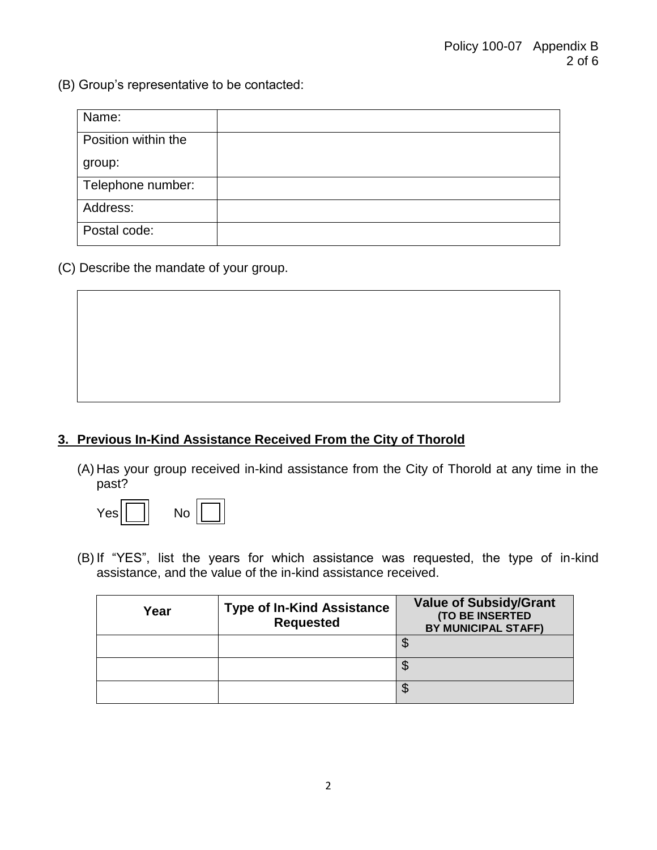(B) Group's representative to be contacted:

| Name:               |  |
|---------------------|--|
| Position within the |  |
| group:              |  |
| Telephone number:   |  |
| Address:            |  |
| Postal code:        |  |

(C) Describe the mandate of your group.

# **3. Previous In-Kind Assistance Received From the City of Thorold**

(A) Has your group received in-kind assistance from the City of Thorold at any time in the past?



(B) If "YES", list the years for which assistance was requested, the type of in-kind assistance, and the value of the in-kind assistance received.

| Year | <b>Type of In-Kind Assistance</b><br><b>Requested</b> | <b>Value of Subsidy/Grant</b><br>(TO BE INSERTED<br>BY MUNICIPAL STAFF) |
|------|-------------------------------------------------------|-------------------------------------------------------------------------|
|      |                                                       | Φ                                                                       |
|      |                                                       | Φ                                                                       |
|      |                                                       | Φ                                                                       |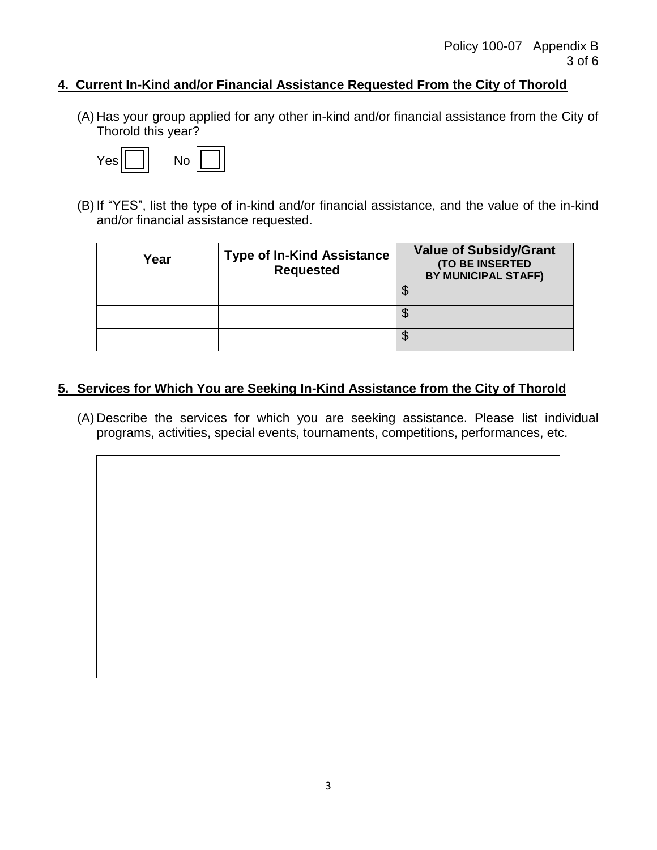# **4. Current In-Kind and/or Financial Assistance Requested From the City of Thorold**

(A) Has your group applied for any other in-kind and/or financial assistance from the City of Thorold this year?



(B) If "YES", list the type of in-kind and/or financial assistance, and the value of the in-kind and/or financial assistance requested.

| Year | <b>Type of In-Kind Assistance</b><br><b>Requested</b> | <b>Value of Subsidy/Grant</b><br>(TO BE INSERTED<br>BY MUNICIPAL STAFF) |
|------|-------------------------------------------------------|-------------------------------------------------------------------------|
|      |                                                       | \$                                                                      |
|      |                                                       | \$                                                                      |
|      |                                                       | \$                                                                      |

# **5. Services for Which You are Seeking In-Kind Assistance from the City of Thorold**

(A) Describe the services for which you are seeking assistance. Please list individual programs, activities, special events, tournaments, competitions, performances, etc.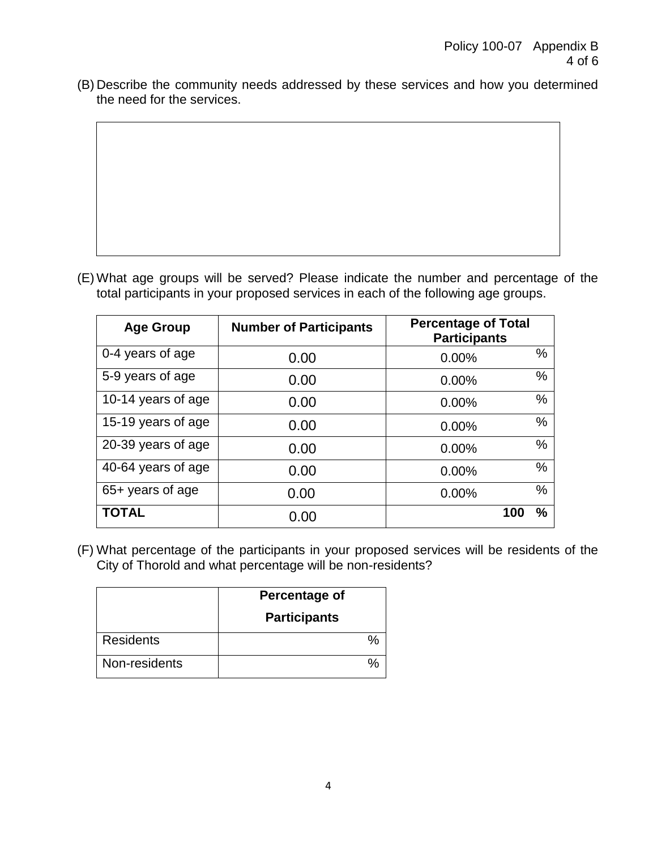(B) Describe the community needs addressed by these services and how you determined the need for the services.

(E) What age groups will be served? Please indicate the number and percentage of the total participants in your proposed services in each of the following age groups.

| <b>Age Group</b>   | <b>Number of Participants</b> | <b>Percentage of Total</b><br><b>Participants</b> |  |
|--------------------|-------------------------------|---------------------------------------------------|--|
| 0-4 years of age   | 0.00                          | %<br>0.00%                                        |  |
| 5-9 years of age   | 0.00                          | %<br>0.00%                                        |  |
| 10-14 years of age | 0.00                          | %<br>0.00%                                        |  |
| 15-19 years of age | 0.00                          | %<br>0.00%                                        |  |
| 20-39 years of age | 0.00                          | %<br>0.00%                                        |  |
| 40-64 years of age | 0.00                          | %<br>0.00%                                        |  |
| 65+ years of age   | 0.00                          | $\%$<br>0.00%                                     |  |
| <b>TOTAL</b>       | 0.00                          | %<br>100                                          |  |

(F) What percentage of the participants in your proposed services will be residents of the City of Thorold and what percentage will be non-residents?

|                  | Percentage of       |  |
|------------------|---------------------|--|
|                  | <b>Participants</b> |  |
| <b>Residents</b> |                     |  |
| Non-residents    |                     |  |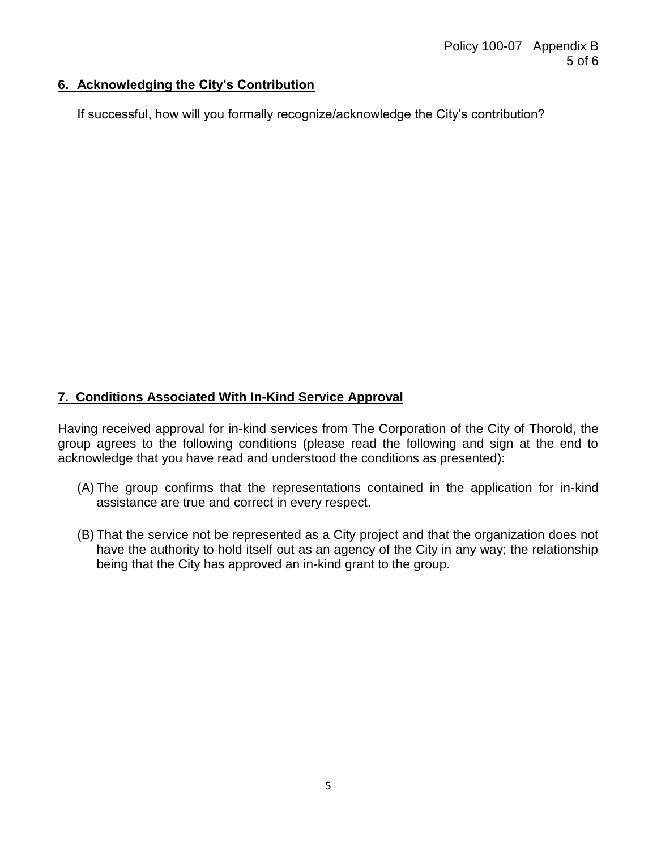# **6. Acknowledging the City's Contribution**

If successful, how will you formally recognize/acknowledge the City's contribution?

# **7. Conditions Associated With In-Kind Service Approval**

Having received approval for in-kind services from The Corporation of the City of Thorold, the group agrees to the following conditions (please read the following and sign at the end to acknowledge that you have read and understood the conditions as presented):

- (A) The group confirms that the representations contained in the application for in-kind assistance are true and correct in every respect.
- (B) That the service not be represented as a City project and that the organization does not have the authority to hold itself out as an agency of the City in any way; the relationship being that the City has approved an in-kind grant to the group.